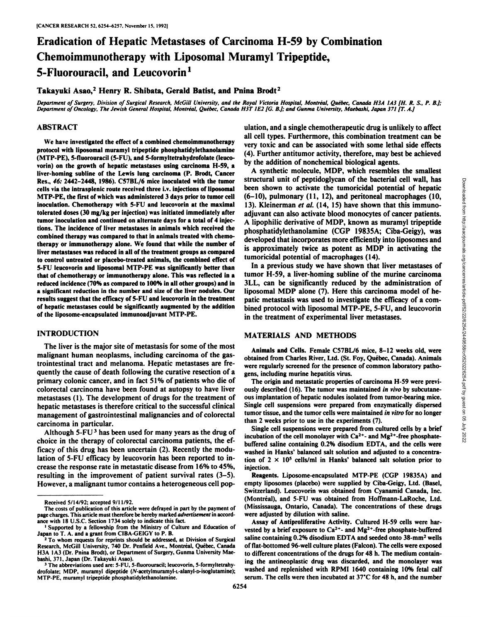# Eradication of Hepatic Metastases of Carcinoma H-59 by Combination Chemoimmunotherapy with Liposomal Muramyl Tripeptide, 5-Fluorouracil, and Leucovorin<sup>1</sup>

Takayuki Asao,<sup>2</sup> Henry R. Shibata, Gerald Batist, and Pnina Brodt<sup>2</sup>

Department of Surgery, Division of Surgical Research, McGill University, and the Royal Victoria Hospital, Montréal, Québec, Canada H3A 1A3 [H. R. S., P. B.]; Department of Oncology, The Jewish General Hospital, Montréal, Québec, Canada H3T 1E2 [G. B.]; and Gunma University, Maebashi, Japan 371 [T. A.]

## ABSTRACT

\Ve have investigated the effect of a combined Chemoimmunotherapy protocol with liposomal muramyl tripeptide phosphatidylethanolamine (MTP-PE), 5-fluorouracil (5-FU), and 5-formyltetrahydrofolate (leucovorin) on the growth of hepatic metastases using carcinoma  $H-59$ , a liver-homing subline of the Lewis lung carcinoma (P. Brodt, Cancer Res., 46: 2442-2448, 1986). C57BL/6 mice inoculated with the tumor cells via the intrasplenic route received three i.v. injections of liposomal MTP-PE, the first of which was administered 3 days prior to tumor cell inoculation. Chemotherapy with 5-FU and leucovorin at the maximal tolerated doses (30 mg/kg per injection) was initiated immediately after tumor inoculation and continued on alternate days for a total of 4 injec tions. The incidence of liver metastases in animals which received the combined therapy was compared to that in animals treated with chemo therapy or immunotherapy alone. We found that while the number of liver metastases was reduced in all of the treatment groups as compared to control untreated or placebo-treated animals, the combined effect of 5-FU leucovorin and liposomal MTP-PE was significantly better than that of chemotherapy or immunotherapy alone. This was reflected in a reduced incidence (70% as compared to 100% in all other groups) and in a significant reduction in the number and size of the liver nodules. Our results suggest that the efficacy of 5-FU and leucovorin in the treatment of hepatic metastases could be significantly augmented by the addition of the liposome-encapsulated immunoadjuvant MTP-PE.

## INTRODUCTION

The liver is the major site of metastasis for some of the most malignant human neoplasms, including carcinoma of the gas trointestinal tract and melanoma. Hepatic metastases are frequently the cause of death following the curative resection of <sup>a</sup> primary' colonie cancer, and in fact 51% of patients who die of colorectal carcinoma have been found at autopsy to have liver metastases (1). The development of drugs for the treatment of hepatic metastases is therefore critical to the successful clinical management of gastrointestinal malignancies and of colorectal carcinoma in particular.

Although  $5$ -FU<sup>3</sup> has been used for many years as the drug of choice in the therapy of colorectal carcinoma patients, the ef ficacy of this drug has been uncertain (2). Recently the modu-<br>washed in Hanks' balanced salt solution and adjusted to a concentralation of 5-FU efficacy by leucovorin has been reported to in crease the response rate in metastatic disease from 16% to 45%, resulting in the improvement of patient survival rates (3-5). However, a malignant tumor contains a heterogeneous cell pop-

ulation, and a single chemotherapeutic drug is unlikely to affect all cell types. Furthermore, this combination treatment can be very toxic and can be associated with some lethal side effects (4). Further antitumor activity, therefore, may best be achieved by the addition of nonchemical biological agents.

A synthetic molecule, MDP, which resembles the smallest structural unit of peptidologycan of the bacterial cell wall, has<br>been shown to activate the tumoricidal potential of hepatic<br>(6-10), pulmonary (11, 12), and peritoneal matorophages (10,<br>13). Keinerman et al. (14, 15) hav been shown to activate the tumoricidal potential of hepatic (6-10), pulmonary (11, 12), and peritoneal macrophages (10, 13). Kleinerman *et al.* (14, 15) have shown that this immunoadjuvant can also activate blood monocytes of cancer patients. A lipophilic derivative of MDP, known as muramyl tripeptide phosphatidylethanolamine (CGP 19835A; Ciba-Geigy), was developed that incorporates more efficiently into liposomes and is approximately twice as potent as MDP in activating the tumoricidal potential of macrophages (14).

In a previous study we have shown that liver metastases of tumor H-59, a liver-homing subline of the murine carcinoma 3LL, can be significantly reduced by the administration of liposomal MDP alone (7). Here this carcinoma model of he patic metastasis was used to investigate the efficacy of a com bined protocol with liposomal MTP-PE, 5-FU, and leucovorin in the treatment of experimental liver metastases.

## MATERIALS AND METHODS

Animals and Cells. Female C57BL/6 mice, 8-12 weeks old, were obtained from Charles River, Ltd. (St. Foy, Québec, Canada). Animals were regularly screened for the presence of common laboratory patho gens, including murine hepatitis virus.

The origin and metastatic properties of carcinoma H-59 were previ ously described (16). The tumor was maintained in vivo by subcutane ous implantation of hepatic nodules isolated from tumor-bearing mice. Single cell suspensions were prepared from enzymatically dispersed tumor tissue, and the tumor cells were maintained in vitro for no longer than 2 weeks prior to use in the experiments (7).

Single cell suspensions were prepared from cultured cells by a brief incubation of the cell monolayer with  $Ca^{2+}$ - and  $Mg^{2+}$ -free phosphatebuffered saline containing 0.2% disodium EDTA, and the cells were tion of  $2 \times 10^5$  cells/ml in Hanks' balanced salt solution prior to injection.

Reagents. Liposome-encapsulated MTP-PE (CGP 19835A) and empty liposomes (placebo) were supplied by Ciba-Geigy, Ltd. (Basel, Switzerland). Leucovorin was obtained from Cyanamid Canada, Inc. (Montréal), and 5-FU was obtained from Hoffmann-LaRoche, Ltd. (Mississauga, Ontario, Canada). The concentrations of these drugs were adjusted by dilution with saline.

Assay of Antiproliferative Activity. Cultured H-59 cells were har vested by a brief exposure to  $Ca^{2+}$ - and Mg<sup>2+</sup>-free phosphate-buffered saline containing 0.2% disodium EDTA and seeded onto 38-mm2 wells of flat-bottomed 96-well culture plates (Falcon). The cells were exposed to different concentrations of the drugs for 48 h. The medium contain ing the antineoplastic drug was discarded, and the monolayer was washed and replenished with RPMI 1640 containing 10% fetal calf serum. The cells were then incubated at 37°C for 48 h, and the number

Received 5/14/92; accepted 9/11/92.

The costs of publication of this article were defrayed in part by the payment of page charges. This article must therefore be hereby marked advertisement in accordance with 18 U.S.C. Section 1734 solely to indicate this fact.

<sup>&</sup>lt;sup>1</sup> Supported by a fellowship from the Ministry of Culture and Education of Japan to T. A. and a grant from CIBA-GEIGY to P. B.

<sup>&</sup>lt;sup>2</sup> To whom requests for reprints should be addressed, at Division of Surgical Research, McGill University, 740 Dr. Penfield Ave., Montréal, Québec, Canada H3A 1A3 (Dr. Pnina Brodt), or Department of Surgery, Gunma University Maebashi, 371, Japan (Dr. Takayuki Asao).<br><sup>3</sup>The abbreviations used are: 5-FU, 5-fluorouracil; leucovorin, 5-formyltetrahy-

drofolate; MDP, muramyl dipeptide (N-acetylmuramyl-L-alanyl-D-isoglutamine); MTP-PE, muramyl Iripeptide phosphatidylethanolamine.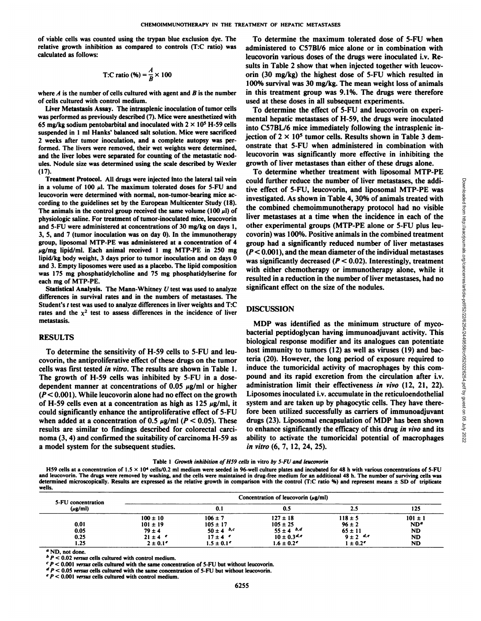of viable cells was counted using the trypan blue exclusion dye. The relative growth inhibition as compared to controls (T:C ratio) was calculated as follows:

T:C ratio (%) = 
$$
\frac{A}{B}
$$
 × 100

where  $\vec{A}$  is the number of cells cultured with agent and  $\vec{B}$  is the number of cells cultured with control medium.

Liver Metastasis Assay. The intrasplenic inoculation of tumor cells was performed as previously described (7). Mice were anesthetized with 65 mg/kg sodium pentobarbital and inoculated with  $2 \times 10^5$  H-59 cells suspended in 1 ml Hanks' balanced salt solution. Mice were sacrificed 2 weeks after tumor inoculation, and a complete autopsy was per formed. The livers were removed, their wet weights were determined, and the liver lobes were separated for counting of the metastatic nod ules. Nodule size was determined using the scale described by Wexler (17).

Treatment Protocol. All drugs were injected into the lateral tail vein in a volume of 100  $\mu$ . The maximum tolerated doses for 5-FU and leucovorin were determined with normal, non-tumor-bearing mice ac cording to the guidelines set by the European Multicenter Study (18). The animals in the control group received the same volume (100  $\mu$ l) of physiologic saline. For treatment of tumor-inoculated mice, leucovorin and 5-FU were administered at concentrations of 30 mg/kg on days 1, 3, 5, and 7 (tumor inoculation was on day 0). In the immunotherapy group, liposomal MTP-PE was administered at a concentration of 4  $\mu$ g/mg lipid/ml. Each animal received 1 mg MTP-PE in 250 mg lipid/kg body weight, 3 days prior to tumor inoculation and on days 0 and 3. Empty liposomes were used as a placebo. The lipid composition was 175 mg phosphatidylcholine and 75 mg phosphatidylserine for each mg of MTP-PE.

Statistical Analysis. The Mann-Whitney  $U$  test was used to analyze differences in survival rates and in the numbers of metastases. The Student's t test was used to analyze differences in liver weights and T:C rates and the  $x^2$  test to assess differences in the incidence of liver metastasis.

### RESULTS

To determine the sensitivity of H-59 cells to 5-FU and leu covorin, the antiproliferative effect of these drugs on the tumor cells was first tested in vitro. The results are shown in Table 1. The growth of H-59 cells was inhibited by 5-FU in a dosedependent manner at concentrations of 0.05  $\mu$ g/ml or higher *(P< 0.001). While leucovorin alone had no effect on the growth* of H-59 cells even at a concentration as high as  $125 \mu g/ml$ , it could significantly enhance the antiproliferative effect of 5-FU when added at a concentration of 0.5  $\mu$ g/ml (P < 0.05). These results are similar to findings described for colorectal carci noma (3, 4) and confirmed the suitability of carcinoma H-59 as a model system for the subsequent studies.

To determine the maximum tolerated dose of 5-FU when administered to C57B1/6 mice alone or in combination with leucovorin various doses of the drugs were inoculated i.v. Re sults in Table 2 show that when injected together with leucov orin (30 mg/kg) the highest dose of 5-FU which resulted in 100% survival was 30 mg/kg. The mean weight loss of animals in this treatment group was 9.1%. The drugs were therefore used at these doses in all subsequent experiments.

To determine the effect of 5-FU and leucovorin on experi mental hepatic metastases of H-59, the drugs were inoculated into C57BL/6 mice immediately following the intrasplenic in jection of  $2 \times 10^5$  tumor cells. Results shown in Table 3 demonstrate that 5-FU when administered in combination with leucovorin was significantly more effective in inhibiting the growth of liver metastases than either of these drugs alone.

To determine whether treatment with liposomal MTP-PE could further reduce the number of liver metastases, the addiinvestigated. As shown in Table 4, 30% of animals treated with the combined chemoimmunotherapy protocol had no visible liver metastases at a time when the incidence in each of the other experimental groups (MTP-PE alone or 5-FU plus leu covorin) was 100%. Positive animals in the combined treatment group had a significantly reduced number of liver métastases *(P < 0.001 ), and the mean diameter of the individual métastases* was significantly decreased  $(P < 0.02)$ . Interestingly, treatment with either chemotherapy or immunotherapy alone, while it resulted in a reduction in the number of liver metastases, had no significant effect on the size of the nodules.

## **DISCUSSION**

could further reduce the number of liver metastases, the addi-<br>tive effect of 5-FU, leucovorin, and liposomal MTP-PE was<br>investigated. As shown in Table 4, 30% of animals treated with<br>the combined chemoinmunotherapy proto MDP was identified as the minimum structure of mycobacterial peptidoglycan having immunoadjuvant activity. This biological response modifier and its analogues can potentiate host immunity to tumors (12) as well as viruses (19) and bac teria (20). However, the long period of exposure required to induce the tumoricidal activity of macrophages by this com pound and its rapid excretion from the circulation after i.v. administration limit their effectiveness in vivo (12,21, 22). Liposomes inoculated i.v. accumulate in the reticuloendothelial system and are taken up by phagocytic cells. They have there fore been utilized successfully as carriers of immunoadjuvant drugs (23). Liposomal encapsulation of MDP has been shown to enhance significantly the efficacy of this drug in vivo and its ability to activate the tumoricidal potential of macrophages *in vitro (6, 7, 12,24, 25).*

Table 1 Growth inhibition of H59 cells in vitro by 5-FU and leucovorin

H59 cells at a concentration of  $1.5 \times 10^4$  cells/0.2 ml medium were seeded in 96-well culture plates and incubated for 48 h with various concentrations of 5-FU and leucovorin. The drugs were removed by washing, and the cells were maintained in drug-free medium for an additional 48 h. The number of surviving cells was determined microscopically. Results are expressed as the relat wells.

| 5-FU concentration<br>$(\mu$ g/ml) | Concentration of leucovorin $(\mu\mathbf{g}/\mathbf{m})$ |                            |                            |               |                 |
|------------------------------------|----------------------------------------------------------|----------------------------|----------------------------|---------------|-----------------|
|                                    |                                                          | 0.1                        | 0.5                        | 2.5           | 125             |
|                                    | $100 \pm 10$                                             | $106 \pm 7$                | $127 \pm 18$               | $118 \pm 5$   | $101 \pm 1$     |
| 0.01                               | $101 \pm 19$                                             | $105 \pm 17$               | $105 \pm 25$               | $96 \pm 2$    | ND <sup>a</sup> |
| 0.05                               | $79 \pm 4$                                               | $50 \pm 4$ <i>b,c</i>      | $55 \pm 4$ $^{b,d}$        | $65 \pm 11$   | <b>ND</b>       |
| 0.25                               | $21 \pm 4$ $\epsilon$                                    | $17 \pm 4$ $\epsilon$      | $10 \pm 0.3^{d,e}$         | $9 \pm 2$ d.e | <b>ND</b>       |
| 1.25                               | $2 \pm 0.1^{\circ}$                                      | $1.5 \pm 0.1$ <sup>e</sup> | $1.6 \pm 0.2$ <sup>e</sup> | $1 \pm 0.2^c$ | <b>ND</b>       |

" ND, not done.

 $b$  P < 0.02 versus cells cultured with control medium.

*c P < 0.001 versus cells cultured with the same concentration of 5-FU but without leucovorin.*

*äP < 0.05 versus cells cultured with the same concentration of 5-FU but without leucovorin.*

*'P< 0.001 versus cells cultured with control medium.*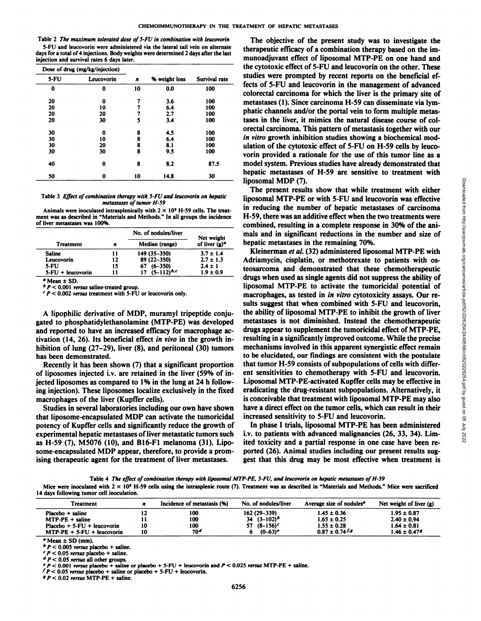Table 2 The maximum tolerated dose of 5-FU in combination with leucovorin 5-FU and leucovorin were administered via the lateral tail vein on alternate days for a total of 4 injections. Body weights were determined 2 days after the last injection and survival rates 6 days later.

| Dose of drug (mg/kg/injection) |            |    |               |               | the cytotoxic effect of                          |
|--------------------------------|------------|----|---------------|---------------|--------------------------------------------------|
| $5-FU$                         | Leucovorin | n  | % weight loss | Survival rate | studies were prompto                             |
| 0                              | 0          | 10 | 0.0           | 100           | fects of 5-FU and let<br>colorectal carcinoma    |
| 20                             | 0          |    | 3.6           | 100           | metastases (1). Since                            |
| 20                             | 10         |    | 6.4           | 100           |                                                  |
| 20                             | 20         |    | 2.7           | 100           | phatic channels and/                             |
| 20                             | 30         | 5  | 3.4           | 100           | tases in the liver, it                           |
| 30                             | 0          | 8  | 4.5           | 100           | orectal carcinoma. Tl                            |
| 30                             | 10         | 8  | 6.4           | 100           | <i>in vitro</i> growth inhibi                    |
| 30                             | 20         | 8  | 8.1           | 100           | ulation of the cytoto:                           |
| 30                             | 30         | 8  | 9.5           | 100           | vorin provided a rati                            |
| 40                             | 0          | 8  | 8.2           | 87.5          | model system. Previo                             |
| 50                             | 0          | 10 | 14.8          | 30            | hepatic metastases o<br><b>Bessenal MADD (5)</b> |

Table 3 Effect of combination therapy with 5-FU and leucovorin on hepatic *métastasesof tumor H-59*

Animals were inoculated intrasplenically with  $2 \times 10^5$  H-59 cells. The treatment was as described in "Materials and Methods." In all groups the incidence of liver metastases was 100%.

|                     |    | No. of nodules/liver | Net weight       |  |
|---------------------|----|----------------------|------------------|--|
| Treatment           | n  | Median (range)       | of liver $(g)^a$ |  |
| <b>Saline</b>       | 11 | 149 (35-350)         | $3.7 \pm 1.4$    |  |
| Leucovorin          | 12 | 89 (22-350)          | $2.7 \pm 1.3$    |  |
| 5-FU                | 15 | $67(6-350)$          | $2.4 \pm 1$      |  |
| $5-FU + leucovorin$ | 11 | $17(5-112)^{b,c}$    | $1.9 \pm 0.9$    |  |

 $a$  Mean  $\pm$  SD.

 $b$  P < 0.001 versus saline-treated group

*c P < 0.002 versus treatment with 5-FU or leucovorin only.*

A lipophilic derivative of MDP, muramyl tripeptide conju gated to phosphatidylethanolamine (MTP-PE) was developed and reported to have an increased efficacy for macrophage ac tivation (14, 26). Its beneficial effect in vivo in the growth in hibition of lung (27–29), liver (8), and peritoneal (30) tumors has been demonstrated.

Recently it has been shown (7) that a significant proportion of liposomes injected i.v. are retained in the liver (59% of in jected liposomes as compared to 1% in the lung at 24 h follow ing injection). These liposomes localize exclusively in the fixed macrophages of the liver (Kupffer cells).

Studies in several laboratories including our own have shown that liposome-encapsulated MDP can activate the tumoricidal potency of Kupffer cells and significantly reduce the growth of experimental hepatic metastases of liver metastatic tumors such as H-59 (7), M5076 (10), and B16-F1 melanoma (31). Lipo some-encapsulated MDP appear, therefore, to provide a prom ising therapeutic agent for the treatment of liver metastases.

weight loss Survival rate studies were prompted by recent reports on the beneficial ef-The objective of the present study was to investigate the therapeutic efficacy of a combination therapy based on the immunoadjuvant effect of liposomal MTP-PE on one hand and the cytotoxic effect of 5-FU and leucovorin on the other. These fects of 5-FU and leucovorin in the management of advanced colorectal carcinoma for which the liver is the primary site of metastases (1). Since carcinoma H-59 can disseminate via lymphatic channels and/or the portal vein to form multiple métas tases in the liver, it mimics the natural disease course of col orectal carcinoma. This pattern of metastasis together with our *in vitro growth inhibition studies showing a biochemical mod* ulation of the cytotoxic effect of 5-FU on H-59 cells by leuco vorin provided a rationale for the use of this tumor line as a model system. Previous studies have already demonstrated that hepatic metastases of H-59 are sensitive to treatment with liposomal MDP (7).

> The present results show that while treatment with either in reducing the number of hepatic metastases of carcinoma H-59, there was an additive effect when the two treatments were combined, resulting in a complete response in 30% of the animals and in significant reductions in the number and size of hepatic metastases in the remaining 70%.

liposomal MDP (7).<br>
The present results show that while treatment with either<br>
liposomal MTP-PE or with S-FU and leucovorin was effective<br>
in reducing the number of hepatic metastases of carcinoma<br>
H-S9, there was an addi Kleinerman et al. (32) administered liposomal MTP-PE with Adriamycin, cisplatin, or methotrexate to patients with osteosarcoma and demonstrated that these chemotherapeutic drugs when used as single agents did not suppress the ability of liposomal MTP-PE to activate the tumoricidal potential of macrophages, as tested in in vitro cytotoxicity assays. Our results suggest that when combined with 5-FU and leucovorin, the ability of liposomal MTP-PE to inhibit the growth of liver metastases is not diminished. Instead the chemotherapeutic drugs appear to supplement the tumoricidal effect of MTP-PE, resulting in a significantly improved outcome. While the precise mechanisms involved in this apparent synergistic effect remain to be elucidated, our findings are consistent with the postulate that tumor H-59 consists of subpopulations of cells with differ ent sensitivities to chemotherapy with 5-FU and leucovorin. Liposomal MTP-PE-activated Kupffer cells may be effective in eradicating the drug-resistant subpopulations. Alternatively, it is conceivable that treatment with liposomal MTP-PE may also have a direct effect on the tumor cells, which can result in their increased sensitivity to 5-FU and leucovorin.

In phase I trials, liposomal MTP-PE has been administered i.v. to patients with advanced malignancies (26, 33, 34). Lim ited toxicity and a partial response in one case have been re ported (26). Animal studies including our present results sug gest that this drug may be most effective when treatment is

Table 4 The effect of combination therapy with liposomal MTP-PE, 5-FU, and leucovorin on hepatic metastases of H-59 Mice were inoculated with  $2 \times 10^5$  H-59 cells using the intrasplenic route (7). Treatment was as described in "Materials and Methods." Mice were sacrificed 14 days following tumor cell inoculation.

| <b>Treatment</b>              |    | Incidence of metastasis (%) | No. of nodules/liver | Average size of nodules <sup>a</sup>         | Net weight of liver $(g)$ |
|-------------------------------|----|-----------------------------|----------------------|----------------------------------------------|---------------------------|
| Placebo + saline              |    | 100                         | 162 (29-339)         | $1.45 \pm 0.36$                              | $1.95 \pm 0.87$           |
| $MTP-PE + saline$             |    | 100                         | 34 $(3-102)^b$       | $1.65 \pm 0.25$                              | $2.40 \pm 0.94$           |
| $Placebo + 5-FU + leucovorin$ | 10 | 100                         | 57 $(8-156)^c$       | $1.55 \pm 0.28$                              | $1.64 \pm 0.81$           |
| $MTP-PE + 5-FU + leucovorin$  | 10 | 70ª                         | $(0 - 63)^c$         | $0.87 \pm 0.74$ <sup><math>f.s.</math></sup> | $1.46 \pm 0.47$           |

**" Mean ±SD (mm).**

 $b$  P < 0.005 versus placebo + saline.

*c P < 0.05 versus placebo + saline.*

*d P < 0.05 versus all other groups.* **'**

 $P < 0.001$  versus placebo + saline or placebo + 5-FU + leucovorin and  $P < 0.025$  versus MTP-PE + saline.

*fp < 0.05 versus placebo + saline or placebo + 5-FU + leucovorin.*

*'P< 0.02 versus MTP-PE + saline.*